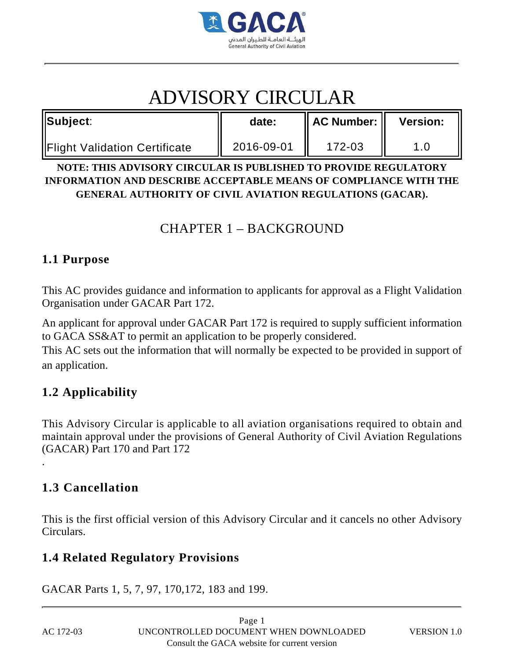

# ADVISORY CIRCULAR

| Subject:                             | date:      | $\parallel$ AC Number: $\parallel$ | <b>Version:</b> |
|--------------------------------------|------------|------------------------------------|-----------------|
| <b>Flight Validation Certificate</b> | 2016-09-01 | 172-03                             |                 |

**NOTE: THIS ADVISORY CIRCULAR IS PUBLISHED TO PROVIDE REGULATORY INFORMATION AND DESCRIBE ACCEPTABLE MEANS OF COMPLIANCE WITH THE GENERAL AUTHORITY OF CIVIL AVIATION REGULATIONS (GACAR).**

# CHAPTER 1 – BACKGROUND

### **1.1 Purpose**

This AC provides guidance and information to applicants for approval as a Flight Validation Organisation under GACAR Part 172.

An applicant for approval under GACAR Part 172 is required to supply sufficient information to GACA SS&AT to permit an application to be properly considered.

This AC sets out the information that will normally be expected to be provided in support of an application.

## **1.2 Applicability**

This Advisory Circular is applicable to all aviation organisations required to obtain and maintain approval under the provisions of General Authority of Civil Aviation Regulations (GACAR) Part 170 and Part 172

## **1.3 Cancellation**

This is the first official version of this Advisory Circular and it cancels no other Advisory Circulars.

### **1.4 Related Regulatory Provisions**

GACAR Parts 1, 5, 7, 97, 170,172, 183 and 199.

.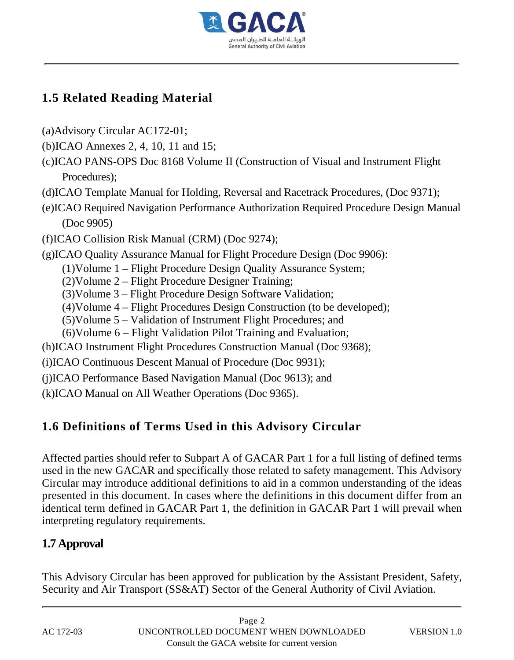

# **1.5 Related Reading Material**

- (a)Advisory Circular AC172-01;
- (b)ICAO Annexes 2, 4, 10, 11 and 15;
- (c)ICAO PANS-OPS Doc 8168 Volume II (Construction of Visual and Instrument Flight Procedures);
- (d)ICAO Template Manual for Holding, Reversal and Racetrack Procedures, (Doc 9371);
- (e)ICAO Required Navigation Performance Authorization Required Procedure Design Manual (Doc 9905)
- (f)ICAO Collision Risk Manual (CRM) (Doc 9274);
- (g)ICAO Quality Assurance Manual for Flight Procedure Design (Doc 9906):
	- (1)Volume 1 Flight Procedure Design Quality Assurance System;
	- (2)Volume 2 Flight Procedure Designer Training;
	- (3)Volume 3 Flight Procedure Design Software Validation;
	- (4)Volume 4 Flight Procedures Design Construction (to be developed);
	- (5)Volume 5 Validation of Instrument Flight Procedures; and
	- (6)Volume 6 Flight Validation Pilot Training and Evaluation;
- (h)ICAO Instrument Flight Procedures Construction Manual (Doc 9368);
- (i)ICAO Continuous Descent Manual of Procedure (Doc 9931);
- (j)ICAO Performance Based Navigation Manual (Doc 9613); and
- (k)ICAO Manual on All Weather Operations (Doc 9365).

# **1.6 Definitions of Terms Used in this Advisory Circular**

Affected parties should refer to Subpart A of GACAR Part 1 for a full listing of defined terms used in the new GACAR and specifically those related to safety management. This Advisory Circular may introduce additional definitions to aid in a common understanding of the ideas presented in this document. In cases where the definitions in this document differ from an identical term defined in GACAR Part 1, the definition in GACAR Part 1 will prevail when interpreting regulatory requirements.

## **1.7 Approval**

This Advisory Circular has been approved for publication by the Assistant President, Safety, Security and Air Transport (SS&AT) Sector of the General Authority of Civil Aviation.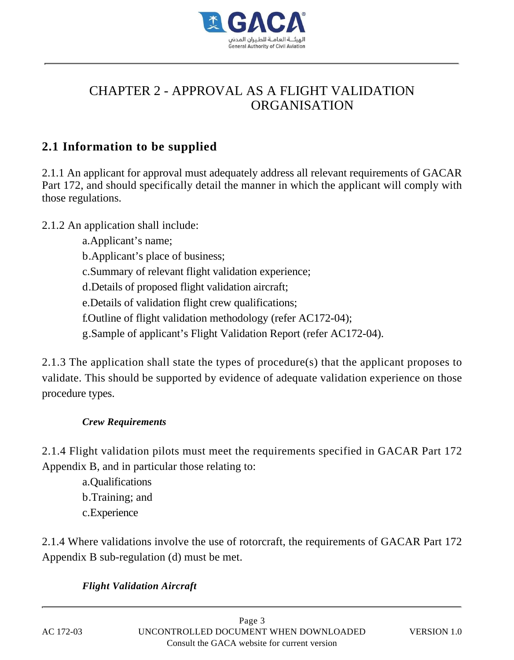

# CHAPTER 2 - APPROVAL AS A FLIGHT VALIDATION ORGANISATION

## **2.1 Information to be supplied**

2.1.1 An applicant for approval must adequately address all relevant requirements of GACAR Part 172, and should specifically detail the manner in which the applicant will comply with those regulations.

#### 2.1.2 An application shall include:

- a.Applicant's name;
- b.Applicant's place of business;
- c.Summary of relevant flight validation experience;
- d.Details of proposed flight validation aircraft;
- e.Details of validation flight crew qualifications;
- f.Outline of flight validation methodology (refer AC172-04);
- g.Sample of applicant's Flight Validation Report (refer AC172-04).

2.1.3 The application shall state the types of procedure(s) that the applicant proposes to validate. This should be supported by evidence of adequate validation experience on those procedure types.

#### *Crew Requirements*

2.1.4 Flight validation pilots must meet the requirements specified in GACAR Part 172 Appendix B, and in particular those relating to:

a.Qualifications b.Training; and c.Experience

2.1.4 Where validations involve the use of rotorcraft, the requirements of GACAR Part 172 Appendix B sub-regulation (d) must be met.

#### *Flight Validation Aircraft*